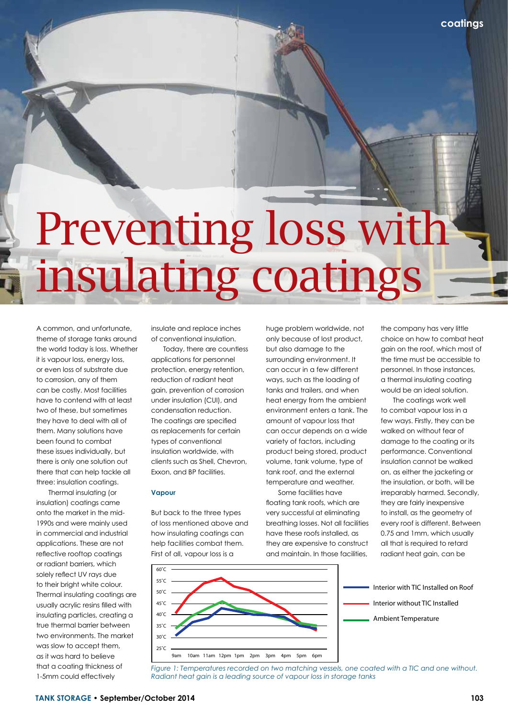**coatings**

# Preventing loss with insulating coatings

A common, and unfortunate, theme of storage tanks around the world today is loss. Whether it is vapour loss, energy loss, or even loss of substrate due to corrosion, any of them can be costly. Most facilities have to contend with at least two of these, but sometimes they have to deal with all of them. Many solutions have been found to combat these issues individually, but there is only one solution out there that can help tackle all three: insulation coatings.

Thermal insulating (or insulation) coatings came onto the market in the mid-1990s and were mainly used in commercial and industrial applications. These are not reflective rooftop coatings or radiant barriers, which solely reflect UV rays due to their bright white colour. Thermal insulating coatings are usually acrylic resins filled with insulating particles, creating a true thermal barrier between two environments. The market was slow to accept them, as it was hard to believe that a coating thickness of 1-5mm could effectively

insulate and replace inches of conventional insulation.

Today, there are countless applications for personnel protection, energy retention, reduction of radiant heat gain, prevention of corrosion under insulation (CUI), and condensation reduction. The coatings are specified as replacements for certain types of conventional insulation worldwide, with clients such as Shell, Chevron, Exxon, and BP facilities.

#### **Vapour**

But back to the three types of loss mentioned above and how insulating coatings can help facilities combat them. First of all, vapour loss is a

huge problem worldwide, not only because of lost product, but also damage to the surrounding environment. It can occur in a few different ways, such as the loading of tanks and trailers, and when heat energy from the ambient environment enters a tank. The amount of vapour loss that can occur depends on a wide variety of factors, including product being stored, product volume, tank volume, type of tank roof, and the external temperature and weather.

Some facilities have floating tank roofs, which are very successful at eliminating breathing losses. Not all facilities have these roofs installed, as they are expensive to construct and maintain. In those facilities,

the company has very little choice on how to combat heat gain on the roof, which most of the time must be accessible to personnel. In those instances, a thermal insulating coating would be an ideal solution.

The coatings work well to combat vapour loss in a few ways. Firstly, they can be walked on without fear of damage to the coating or its performance. Conventional insulation cannot be walked on, as either the jacketing or the insulation, or both, will be irreparably harmed. Secondly, they are fairly inexpensive to install, as the geometry of every roof is different. Between 0.75 and 1mm, which usually all that is required to retard radiant heat gain, can be



*Figure 1: Temperatures recorded on two matching vessels, one coated with a TIC and one without. Radiant heat gain is a leading source of vapour loss in storage tanks*